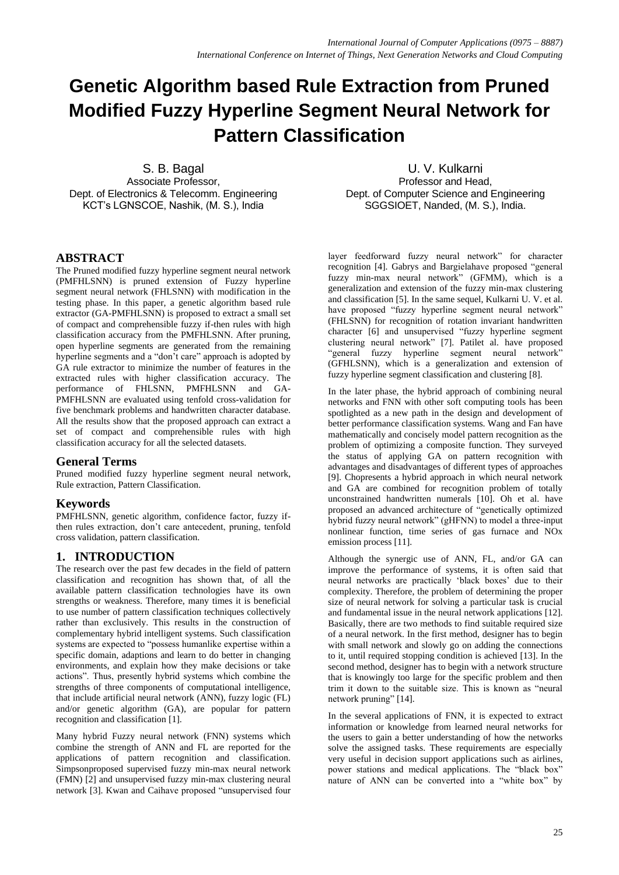# **Genetic Algorithm based Rule Extraction from Pruned Modified Fuzzy Hyperline Segment Neural Network for Pattern Classification**

S. B. Bagal Associate Professor, Dept. of Electronics & Telecomm. Engineering KCT's LGNSCOE, Nashik, (M. S.), India

U. V. Kulkarni Professor and Head, Dept. of Computer Science and Engineering SGGSIOET, Nanded, (M. S.), India.

## **ABSTRACT**

The Pruned modified fuzzy hyperline segment neural network (PMFHLSNN) is pruned extension of Fuzzy hyperline segment neural network (FHLSNN) with modification in the testing phase. In this paper, a genetic algorithm based rule extractor (GA-PMFHLSNN) is proposed to extract a small set of compact and comprehensible fuzzy if-then rules with high classification accuracy from the PMFHLSNN. After pruning, open hyperline segments are generated from the remaining hyperline segments and a "don't care" approach is adopted by GA rule extractor to minimize the number of features in the extracted rules with higher classification accuracy. The performance of FHLSNN, PMFHLSNN and GA-PMFHLSNN are evaluated using tenfold cross-validation for five benchmark problems and handwritten character database. All the results show that the proposed approach can extract a set of compact and comprehensible rules with high classification accuracy for all the selected datasets.

## **General Terms**

Pruned modified fuzzy hyperline segment neural network, Rule extraction, Pattern Classification.

## **Keywords**

PMFHLSNN, genetic algorithm, confidence factor, fuzzy ifthen rules extraction, don't care antecedent, pruning, tenfold cross validation, pattern classification.

## **1. INTRODUCTION**

The research over the past few decades in the field of pattern classification and recognition has shown that, of all the available pattern classification technologies have its own strengths or weakness. Therefore, many times it is beneficial to use number of pattern classification techniques collectively rather than exclusively. This results in the construction of complementary hybrid intelligent systems. Such classification systems are expected to "possess humanlike expertise within a specific domain, adaptions and learn to do better in changing environments, and explain how they make decisions or take actions". Thus, presently hybrid systems which combine the strengths of three components of computational intelligence, that include artificial neural network (ANN), fuzzy logic (FL) and/or genetic algorithm (GA), are popular for pattern recognition and classification [1].

Many hybrid Fuzzy neural network (FNN) systems which combine the strength of ANN and FL are reported for the applications of pattern recognition and classification. Simpsonproposed supervised fuzzy min-max neural network (FMN) [2] and unsupervised fuzzy min-max clustering neural network [3]. Kwan and Caihave proposed "unsupervised four layer feedforward fuzzy neural network" for character recognition [4]. Gabrys and Bargielahave proposed "general fuzzy min-max neural network" (GFMM), which is a generalization and extension of the fuzzy min-max clustering and classification [5]. In the same sequel, Kulkarni U. V. et al. have proposed "fuzzy hyperline segment neural network" (FHLSNN) for recognition of rotation invariant handwritten character [6] and unsupervised "fuzzy hyperline segment clustering neural network" [7]. Patilet al. have proposed "general fuzzy hyperline segment neural network" (GFHLSNN), which is a generalization and extension of fuzzy hyperline segment classification and clustering [8].

In the later phase, the hybrid approach of combining neural networks and FNN with other soft computing tools has been spotlighted as a new path in the design and development of better performance classification systems. Wang and Fan have mathematically and concisely model pattern recognition as the problem of optimizing a composite function. They surveyed the status of applying GA on pattern recognition with advantages and disadvantages of different types of approaches [9]. Chopresents a hybrid approach in which neural network and GA are combined for recognition problem of totally unconstrained handwritten numerals [10]. Oh et al. have proposed an advanced architecture of "genetically optimized hybrid fuzzy neural network" (gHFNN) to model a three-input nonlinear function, time series of gas furnace and NOx emission process [11].

Although the synergic use of ANN, FL, and/or GA can improve the performance of systems, it is often said that neural networks are practically 'black boxes' due to their complexity. Therefore, the problem of determining the proper size of neural network for solving a particular task is crucial and fundamental issue in the neural network applications [12]. Basically, there are two methods to find suitable required size of a neural network. In the first method, designer has to begin with small network and slowly go on adding the connections to it, until required stopping condition is achieved [13]. In the second method, designer has to begin with a network structure that is knowingly too large for the specific problem and then trim it down to the suitable size. This is known as "neural network pruning" [14].

In the several applications of FNN, it is expected to extract information or knowledge from learned neural networks for the users to gain a better understanding of how the networks solve the assigned tasks. These requirements are especially very useful in decision support applications such as airlines, power stations and medical applications. The "black box" nature of ANN can be converted into a "white box" by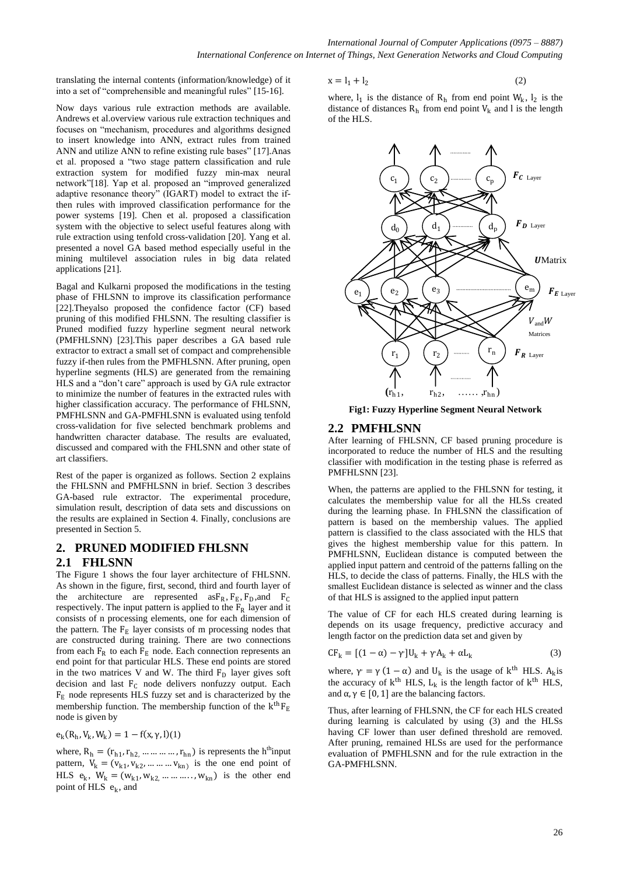translating the internal contents (information/knowledge) of it into a set of "comprehensible and meaningful rules" [15-16].

Now days various rule extraction methods are available. Andrews et al.overview various rule extraction techniques and focuses on "mechanism, procedures and algorithms designed to insert knowledge into ANN, extract rules from trained ANN and utilize ANN to refine existing rule bases" [17]. Anas et al. proposed a "two stage pattern classification and rule extraction system for modified fuzzy min-max neural network"[18]. Yap et al. proposed an "improved generalized adaptive resonance theory" (IGART) model to extract the ifthen rules with improved classification performance for the power systems [19]. Chen et al. proposed a classification system with the objective to select useful features along with rule extraction using tenfold cross-validation [20]. Yang et al. presented a novel GA based method especially useful in the mining multilevel association rules in big data related applications [21].

Bagal and Kulkarni proposed the modifications in the testing phase of FHLSNN to improve its classification performance [22].Theyalso proposed the confidence factor (CF) based pruning of this modified FHLSNN. The resulting classifier is Pruned modified fuzzy hyperline segment neural network (PMFHLSNN) [23].This paper describes a GA based rule extractor to extract a small set of compact and comprehensible fuzzy if-then rules from the PMFHLSNN. After pruning, open hyperline segments (HLS) are generated from the remaining HLS and a "don't care" approach is used by GA rule extractor to minimize the number of features in the extracted rules with higher classification accuracy. The performance of FHLSNN, PMFHLSNN and GA-PMFHLSNN is evaluated using tenfold cross-validation for five selected benchmark problems and handwritten character database. The results are evaluated, discussed and compared with the FHLSNN and other state of art classifiers.

Rest of the paper is organized as follows. Section 2 explains the FHLSNN and PMFHLSNN in brief. Section 3 describes GA-based rule extractor. The experimental procedure, simulation result, description of data sets and discussions on the results are explained in Section 4. Finally, conclusions are presented in Section 5.

## **2. PRUNED MODIFIED FHLSNN**

#### **2.1 FHLSNN**

The Figure 1 shows the four layer architecture of FHLSNN. As shown in the figure, first, second, third and fourth layer of the architecture are represented as  $F_R$ ,  $F_E$ ,  $F_D$ , and  $F_C$ respectively. The input pattern is applied to the  $F_R$  layer and it consists of n processing elements, one for each dimension of the pattern. The  $F_E$  layer consists of m processing nodes that are constructed during training. There are two connections from each  $F_R$  to each  $F_E$  node. Each connection represents an end point for that particular HLS. These end points are stored in the two matrices V and W. The third  $F<sub>D</sub>$  layer gives soft decision and last  $F_C$  node delivers nonfuzzy output. Each  $F<sub>E</sub>$  node represents HLS fuzzy set and is characterized by the membership function. The membership function of the  $k<sup>th</sup>F<sub>E</sub>$ node is given by

$$
e_k(R_h, V_k, W_k) = 1 - f(x, \gamma, l)(1)
$$

where,  $R_h = (r_{h1}, r_{h2}, \dots \dots \dots r_{hn})$  is represents the h<sup>th</sup>input pattern,  $V_k = (v_{k1}, v_{k2}, \dots, v_{kn})$  is the one end point of HLS  $e_k$ ,  $W_k = (w_{k1}, w_{k2}, \dots, w_{kn})$  is the other end point of HLS e<sub>k</sub>, and

$$
x = l_1 + l_2 \tag{2}
$$

where,  $l_1$  is the distance of  $R_h$  from end point  $W_k$ ,  $l_2$  is the distance of distances  $R_h$  from end point  $V_k$  and l is the length of the HLS.



**Fig1: Fuzzy Hyperline Segment Neural Network**

### **2.2 PMFHLSNN**

After learning of FHLSNN, CF based pruning procedure is incorporated to reduce the number of HLS and the resulting classifier with modification in the testing phase is referred as PMFHLSNN [23].

When, the patterns are applied to the FHLSNN for testing, it calculates the membership value for all the HLSs created during the learning phase. In FHLSNN the classification of pattern is based on the membership values. The applied pattern is classified to the class associated with the HLS that gives the highest membership value for this pattern. In PMFHLSNN, Euclidean distance is computed between the applied input pattern and centroid of the patterns falling on the HLS, to decide the class of patterns. Finally, the HLS with the smallest Euclidean distance is selected as winner and the class of that HLS is assigned to the applied input pattern

The value of CF for each HLS created during learning is depends on its usage frequency, predictive accuracy and length factor on the prediction data set and given by

$$
CF_k = [(1 - \alpha) - \gamma]U_k + \gamma A_k + \alpha L_k
$$
\n(3)

where,  $\gamma = \gamma (1 - \alpha)$  and U<sub>k</sub> is the usage of k<sup>th</sup> HLS. A<sub>k</sub> is the accuracy of  $k<sup>th</sup>$  HLS,  $L_k$  is the length factor of  $k<sup>th</sup>$  HLS, and  $\alpha, \gamma \in [0, 1]$  are the balancing factors.

Thus, after learning of FHLSNN, the CF for each HLS created during learning is calculated by using (3) and the HLSs having CF lower than user defined threshold are removed. After pruning, remained HLSs are used for the performance evaluation of PMFHLSNN and for the rule extraction in the GA-PMFHLSNN.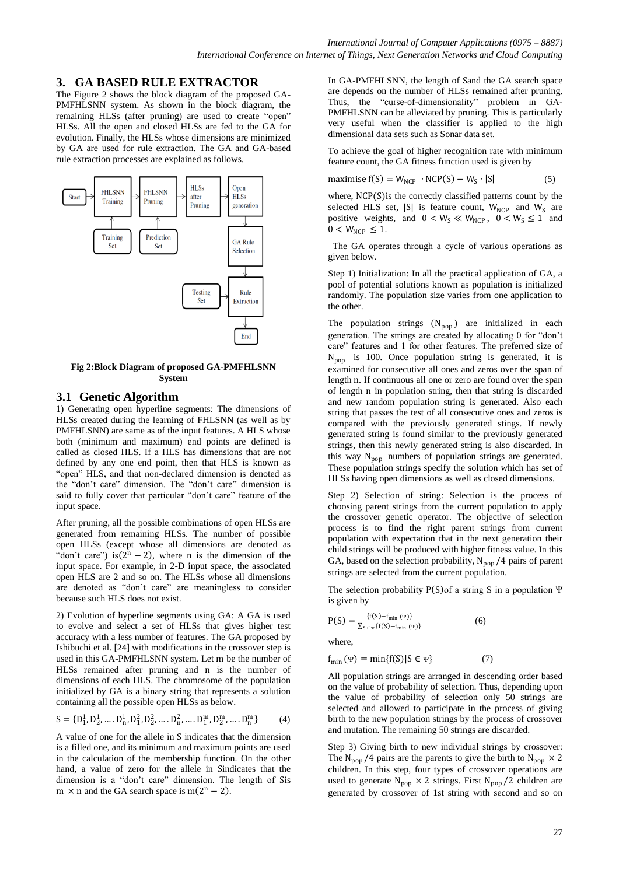## **3. GA BASED RULE EXTRACTOR**

The Figure 2 shows the block diagram of the proposed GA-PMFHLSNN system. As shown in the block diagram, the remaining HLSs (after pruning) are used to create "open" HLSs. All the open and closed HLSs are fed to the GA for evolution. Finally, the HLSs whose dimensions are minimized by GA are used for rule extraction. The GA and GA-based rule extraction processes are explained as follows.



**Fig 2:Block Diagram of proposed GA-PMFHLSNN System**

#### **3.1 Genetic Algorithm**

1) Generating open hyperline segments: The dimensions of HLSs created during the learning of FHLSNN (as well as by PMFHLSNN) are same as of the input features. A HLS whose both (minimum and maximum) end points are defined is called as closed HLS. If a HLS has dimensions that are not defined by any one end point, then that HLS is known as "open" HLS, and that non-declared dimension is denoted as the "don't care" dimension. The "don't care" dimension is said to fully cover that particular "don't care" feature of the input space.

After pruning, all the possible combinations of open HLSs are generated from remaining HLSs. The number of possible open HLSs (except whose all dimensions are denoted as "don't care") is  $(2<sup>n</sup> - 2)$ , where n is the dimension of the input space. For example, in 2-D input space, the associated open HLS are 2 and so on. The HLSs whose all dimensions are denoted as "don't care" are meaningless to consider because such HLS does not exist.

2) Evolution of hyperline segments using GA: A GA is used to evolve and select a set of HLSs that gives higher test accuracy with a less number of features. The GA proposed by Ishibuchi et al. [24] with modifications in the crossover step is used in this GA-PMFHLSNN system. Let m be the number of HLSs remained after pruning and n is the number of dimensions of each HLS. The chromosome of the population initialized by GA is a binary string that represents a solution containing all the possible open HLSs as below.

$$
S = \{D_1^1, D_2^1, \dots, D_n^1, D_1^2, D_2^2, \dots, D_n^2, \dots, D_1^m, D_2^m, \dots, D_n^m\}
$$
(4)

A value of one for the allele in S indicates that the dimension is a filled one, and its minimum and maximum points are used in the calculation of the membership function. On the other hand, a value of zero for the allele in Sindicates that the dimension is a "don't care" dimension. The length of Sis m × n and the GA search space is m( $2^n - 2$ ).

In GA-PMFHLSNN, the length of Sand the GA search space are depends on the number of HLSs remained after pruning. Thus, the "curse-of-dimensionality" problem in GA-PMFHLSNN can be alleviated by pruning. This is particularly very useful when the classifier is applied to the high dimensional data sets such as Sonar data set.

To achieve the goal of higher recognition rate with minimum feature count, the GA fitness function used is given by

$$
maximise f(S) = W_{NCP} \cdot NCP(S) - W_S \cdot |S|
$$
 (5)

where, NCP(S) is the correctly classified patterns count by the selected HLS set,  $|S|$  is feature count,  $W_{NCP}$  and  $W_S$  are positive weights, and  $0 < W_S \ll W_{NCP}$ ,  $0 < W_S \le 1$  and  $0 < W_{NCP} \leq 1$ .

 The GA operates through a cycle of various operations as given below.

Step 1) Initialization: In all the practical application of GA, a pool of potential solutions known as population is initialized randomly. The population size varies from one application to the other.

The population strings  $(N_{pop})$  are initialized in each generation. The strings are created by allocating 0 for "don't care" features and 1 for other features. The preferred size of  $N_{\text{pop}}$  is 100. Once population string is generated, it is examined for consecutive all ones and zeros over the span of length n. If continuous all one or zero are found over the span of length n in population string, then that string is discarded and new random population string is generated. Also each string that passes the test of all consecutive ones and zeros is compared with the previously generated stings. If newly generated string is found similar to the previously generated strings, then this newly generated string is also discarded. In this way  $N_{pop}$  numbers of population strings are generated. These population strings specify the solution which has set of HLSs having open dimensions as well as closed dimensions.

Step 2) Selection of string: Selection is the process of choosing parent strings from the current population to apply the crossover genetic operator. The objective of selection process is to find the right parent strings from current population with expectation that in the next generation their child strings will be produced with higher fitness value. In this GA, based on the selection probability,  $N_{\text{pop}}/4$  pairs of parent strings are selected from the current population.

The selection probability P(S) of a string S in a population  $\Psi$ is given by

$$
P(S) = \frac{\{f(S) - f_{\min}(\Psi)\}}{\sum_{S \in \Psi} \{f(S) - f_{\min}(\Psi)\}}
$$
(6)

where,

 $f_{\min}(\Psi) = \min\{f(S) | S \in \Psi\}$  (7)

All population strings are arranged in descending order based on the value of probability of selection. Thus, depending upon the value of probability of selection only 50 strings are selected and allowed to participate in the process of giving birth to the new population strings by the process of crossover and mutation. The remaining 50 strings are discarded.

Step 3) Giving birth to new individual strings by crossover: The N<sub>pop</sub> /4 pairs are the parents to give the birth to N<sub>pop</sub>  $\times$  2 children. In this step, four types of crossover operations are used to generate  $N_{pop} \times 2$  strings. First  $N_{pop} / 2$  children are generated by crossover of 1st string with second and so on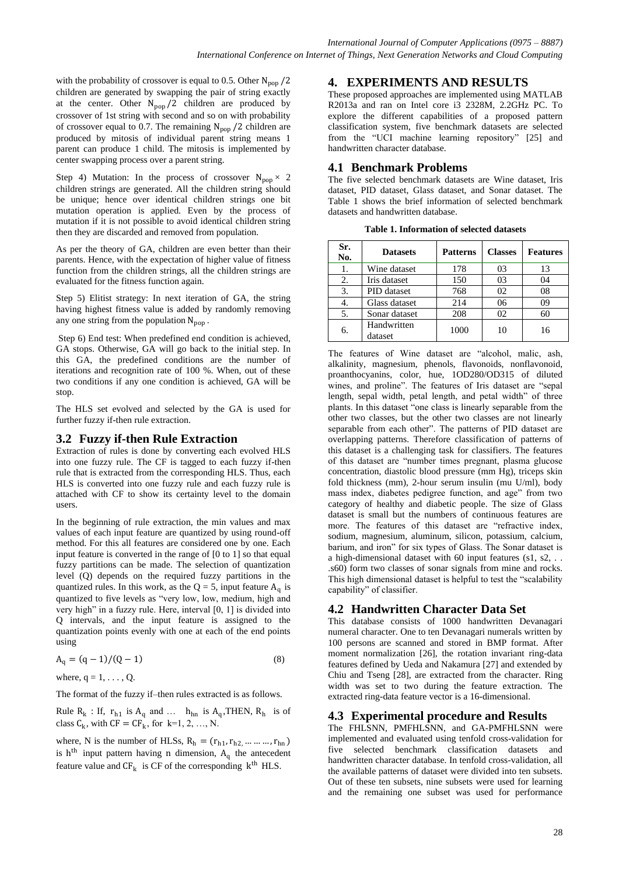with the probability of crossover is equal to 0.5. Other  $N_{\text{pop}}/2$ children are generated by swapping the pair of string exactly at the center. Other  $N_{\text{pop}}/2$  children are produced by crossover of 1st string with second and so on with probability of crossover equal to 0.7. The remaining  $N_{\text{pop}}/2$  children are produced by mitosis of individual parent string means 1 parent can produce 1 child. The mitosis is implemented by center swapping process over a parent string.

Step 4) Mutation: In the process of crossover  $N_{\text{non}} \times 2$ children strings are generated. All the children string should be unique; hence over identical children strings one bit mutation operation is applied. Even by the process of mutation if it is not possible to avoid identical children string then they are discarded and removed from population.

As per the theory of GA, children are even better than their parents. Hence, with the expectation of higher value of fitness function from the children strings, all the children strings are evaluated for the fitness function again.

Step 5) Elitist strategy: In next iteration of GA, the string having highest fitness value is added by randomly removing any one string from the population  $N_{\text{pop}}$ .

Step 6) End test: When predefined end condition is achieved, GA stops. Otherwise, GA will go back to the initial step. In this GA, the predefined conditions are the number of iterations and recognition rate of 100 %. When, out of these two conditions if any one condition is achieved, GA will be stop.

The HLS set evolved and selected by the GA is used for further fuzzy if-then rule extraction.

#### **3.2 Fuzzy if-then Rule Extraction**

Extraction of rules is done by converting each evolved HLS into one fuzzy rule. The CF is tagged to each fuzzy if-then rule that is extracted from the corresponding HLS. Thus, each HLS is converted into one fuzzy rule and each fuzzy rule is attached with CF to show its certainty level to the domain users.

In the beginning of rule extraction, the min values and max values of each input feature are quantized by using round-off method. For this all features are considered one by one. Each input feature is converted in the range of [0 to 1] so that equal fuzzy partitions can be made. The selection of quantization level (Q) depends on the required fuzzy partitions in the quantized rules. In this work, as the  $Q = 5$ , input feature  $A_q$  is quantized to five levels as "very low, low, medium, high and very high" in a fuzzy rule. Here, interval  $[0, 1]$  is divided into Q intervals, and the input feature is assigned to the quantization points evenly with one at each of the end points using

$$
A_q = (q-1)/(Q-1)
$$
 (8)

where,  $q = 1, \ldots, Q$ .

The format of the fuzzy if–then rules extracted is as follows.

Rule  $R_k$ : If,  $r_{h1}$  is  $A_q$  and ...  $h_{hn}$  is  $A_q$ , THEN,  $R_h$  is of class  $C_k$ , with  $CF = CF_k$ , for  $k=1, 2, ..., N$ .

where, N is the number of HLSs,  $R_h = (r_{h1}, r_{h2}, \dots, r_{hn})$ is  $h<sup>th</sup>$  input pattern having n dimension,  $A<sub>q</sub>$  the antecedent feature value and  $CF_k$  is CF of the corresponding  $k^{th}$  HLS.

### **4. EXPERIMENTS AND RESULTS**

These proposed approaches are implemented using MATLAB R2013a and ran on Intel core i3 2328M, 2.2GHz PC. To explore the different capabilities of a proposed pattern classification system, five benchmark datasets are selected from the "UCI machine learning repository" [25] and handwritten character database.

#### **4.1 Benchmark Problems**

The five selected benchmark datasets are Wine dataset, Iris dataset, PID dataset, Glass dataset, and Sonar dataset. The Table 1 shows the brief information of selected benchmark datasets and handwritten database.

**Table 1. Information of selected datasets**

| Sr.<br>No. | <b>Datasets</b>        | <b>Patterns</b> | <b>Classes</b> | <b>Features</b> |
|------------|------------------------|-----------------|----------------|-----------------|
| 1.         | Wine dataset           | 178             | 03             | 13              |
| 2.         | Iris dataset           | 150             | 03             | 04              |
| 3.         | PID dataset            | 768             | 02             | 08              |
| 4.         | Glass dataset          | 214             | 06             | 09              |
| 5.         | Sonar dataset          | 208             | 02             | 60              |
| б.         | Handwritten<br>dataset | 1000            | 10             | 16              |

The features of Wine dataset are "alcohol, malic, ash, alkalinity, magnesium, phenols, flavonoids, nonflavonoid, proanthocyanins, color, hue, 1OD280/OD315 of diluted wines, and proline". The features of Iris dataset are "sepal length, sepal width, petal length, and petal width" of three plants. In this dataset "one class is linearly separable from the other two classes, but the other two classes are not linearly separable from each other". The patterns of PID dataset are overlapping patterns. Therefore classification of patterns of this dataset is a challenging task for classifiers. The features of this dataset are "number times pregnant, plasma glucose concentration, diastolic blood pressure (mm Hg), triceps skin fold thickness (mm), 2-hour serum insulin (mu U/ml), body mass index, diabetes pedigree function, and age" from two category of healthy and diabetic people. The size of Glass dataset is small but the numbers of continuous features are more. The features of this dataset are "refractive index, sodium, magnesium, aluminum, silicon, potassium, calcium, barium, and iron" for six types of Glass. The Sonar dataset is a high-dimensional dataset with 60 input features (s1, s2, . . .s60) form two classes of sonar signals from mine and rocks. This high dimensional dataset is helpful to test the "scalability" capability" of classifier.

### **4.2 Handwritten Character Data Set**

This database consists of 1000 handwritten Devanagari numeral character. One to ten Devanagari numerals written by 100 persons are scanned and stored in BMP format. After moment normalization [26], the rotation invariant ring-data features defined by Ueda and Nakamura [27] and extended by Chiu and Tseng [28], are extracted from the character. Ring width was set to two during the feature extraction. The extracted ring-data feature vector is a 16-dimensional.

#### **4.3 Experimental procedure and Results**

The FHLSNN, PMFHLSNN, and GA-PMFHLSNN were implemented and evaluated using tenfold cross-validation for five selected benchmark classification datasets and handwritten character database. In tenfold cross-validation, all the available patterns of dataset were divided into ten subsets. Out of these ten subsets, nine subsets were used for learning and the remaining one subset was used for performance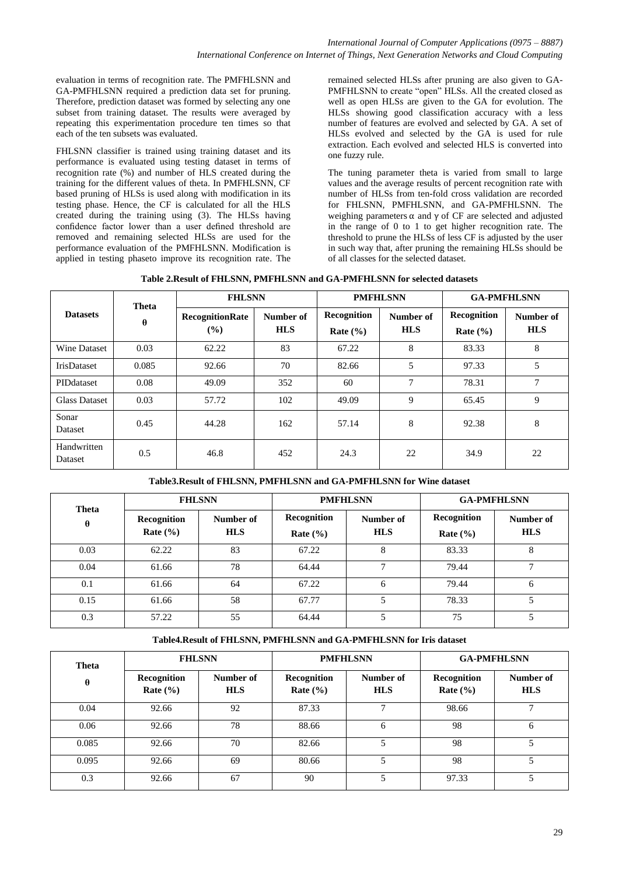evaluation in terms of recognition rate. The PMFHLSNN and GA-PMFHLSNN required a prediction data set for pruning. Therefore, prediction dataset was formed by selecting any one subset from training dataset. The results were averaged by repeating this experimentation procedure ten times so that each of the ten subsets was evaluated.

FHLSNN classifier is trained using training dataset and its performance is evaluated using testing dataset in terms of recognition rate (%) and number of HLS created during the training for the different values of theta. In PMFHLSNN, CF based pruning of HLSs is used along with modification in its testing phase. Hence, the CF is calculated for all the HLS created during the training using (3). The HLSs having confidence factor lower than a user defined threshold are removed and remaining selected HLSs are used for the performance evaluation of the PMFHLSNN. Modification is applied in testing phaseto improve its recognition rate. The remained selected HLSs after pruning are also given to GA-PMFHLSNN to create "open" HLSs. All the created closed as well as open HLSs are given to the GA for evolution. The HLSs showing good classification accuracy with a less number of features are evolved and selected by GA. A set of HLSs evolved and selected by the GA is used for rule extraction. Each evolved and selected HLS is converted into one fuzzy rule.

The tuning parameter theta is varied from small to large values and the average results of percent recognition rate with number of HLSs from ten-fold cross validation are recorded for FHLSNN, PMFHLSNN, and GA-PMFHLSNN. The weighing parameters  $\alpha$  and  $\gamma$  of CF are selected and adjusted in the range of 0 to 1 to get higher recognition rate. The threshold to prune the HLSs of less CF is adjusted by the user in such way that, after pruning the remaining HLSs should be of all classes for the selected dataset.

|                                    | Theta |                        | <b>FHLSNN</b>           |                             | <b>PMFHLSNN</b>         |                             | <b>GA-PMFHLSNN</b>      |
|------------------------------------|-------|------------------------|-------------------------|-----------------------------|-------------------------|-----------------------------|-------------------------|
| <b>Datasets</b><br>$\theta$<br>(%) |       | <b>RecognitionRate</b> | Number of<br><b>HLS</b> | Recognition<br>Rate $(\% )$ | Number of<br><b>HLS</b> | Recognition<br>Rate $(\% )$ | Number of<br><b>HLS</b> |
| Wine Dataset                       | 0.03  | 62.22                  | 83                      | 67.22                       | 8                       | 83.33                       | 8                       |
| IrisDataset                        | 0.085 | 92.66                  | 70                      | 82.66                       | 5                       | 97.33                       | 5                       |
| PIDdataset                         | 0.08  | 49.09                  | 352                     | 60                          | 7                       | 78.31                       | 7                       |
| <b>Glass Dataset</b>               | 0.03  | 57.72                  | 102                     | 49.09                       | 9                       | 65.45                       | 9                       |
| Sonar<br>Dataset                   | 0.45  | 44.28                  | 162                     | 57.14                       | 8                       | 92.38                       | 8                       |
| Handwritten<br>Dataset             | 0.5   | 46.8                   | 452                     | 24.3                        | 22                      | 34.9                        | 22                      |

**Table3.Result of FHLSNN, PMFHLSNN and GA-PMFHLSNN for Wine dataset**

| Theta    | <b>FHLSNN</b>               |                         | <b>PMFHLSNN</b>             |                         | <b>GA-PMFHLSNN</b>          |                         |
|----------|-----------------------------|-------------------------|-----------------------------|-------------------------|-----------------------------|-------------------------|
| $\theta$ | Recognition<br>Rate $(\% )$ | Number of<br><b>HLS</b> | Recognition<br>Rate $(\% )$ | Number of<br><b>HLS</b> | Recognition<br>Rate $(\% )$ | Number of<br><b>HLS</b> |
| 0.03     | 62.22                       | 83                      | 67.22                       | 8                       | 83.33                       | 8                       |
| 0.04     | 61.66                       | 78                      | 64.44                       | $\mathbf{r}$            | 79.44                       | $\mathbf{r}$            |
| 0.1      | 61.66                       | 64                      | 67.22                       | 6                       | 79.44                       | <sub>0</sub>            |
| 0.15     | 61.66                       | 58                      | 67.77                       | 5                       | 78.33                       |                         |
| 0.3      | 57.22                       | 55                      | 64.44                       | 5                       | 75                          |                         |

**Table4.Result of FHLSNN, PMFHLSNN and GA-PMFHLSNN for Iris dataset**

| Theta    | <b>FHLSNN</b>               |                         | <b>PMFHLSNN</b>             |                         | <b>GA-PMFHLSNN</b>          |                         |
|----------|-----------------------------|-------------------------|-----------------------------|-------------------------|-----------------------------|-------------------------|
| $\theta$ | Recognition<br>Rate $(\% )$ | Number of<br><b>HLS</b> | Recognition<br>Rate $(\% )$ | Number of<br><b>HLS</b> | Recognition<br>Rate $(\% )$ | Number of<br><b>HLS</b> |
| 0.04     | 92.66                       | 92                      | 87.33                       | $\mathbf{r}$            | 98.66                       |                         |
| 0.06     | 92.66                       | 78                      | 88.66                       | 6                       | 98                          | 6                       |
| 0.085    | 92.66                       | 70                      | 82.66                       | 5                       | 98                          |                         |
| 0.095    | 92.66                       | 69                      | 80.66                       |                         | 98                          |                         |
| 0.3      | 92.66                       | 67                      | 90                          |                         | 97.33                       |                         |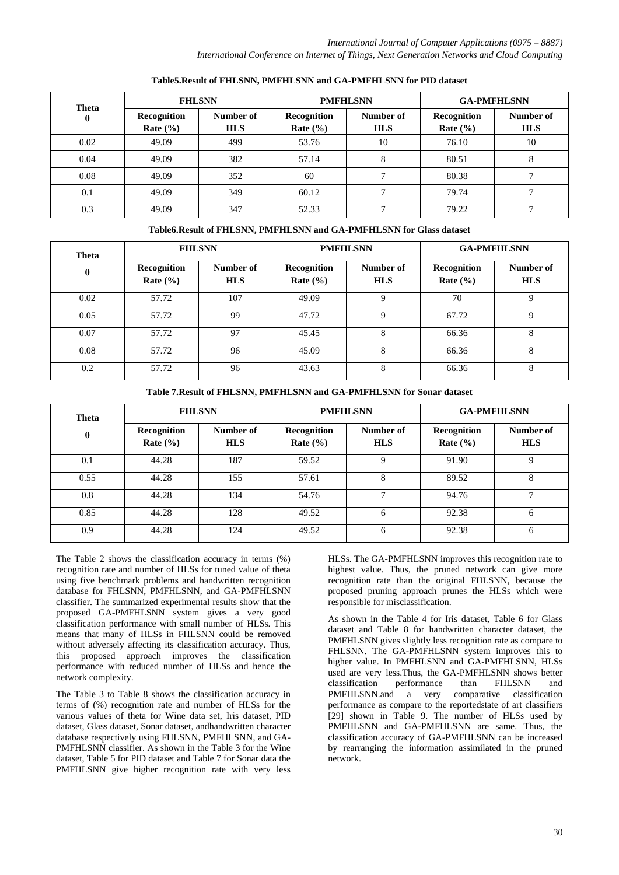| Theta    |                             | <b>FHLSNN</b>           | <b>PMFHLSNN</b>             |                         | <b>GA-PMFHLSNN</b>          |                         |
|----------|-----------------------------|-------------------------|-----------------------------|-------------------------|-----------------------------|-------------------------|
| $\theta$ | Recognition<br>Rate $(\% )$ | Number of<br><b>HLS</b> | Recognition<br>Rate $(\% )$ | Number of<br><b>HLS</b> | Recognition<br>Rate $(\% )$ | Number of<br><b>HLS</b> |
| 0.02     | 49.09                       | 499                     | 53.76                       | 10                      | 76.10                       | 10                      |
| 0.04     | 49.09                       | 382                     | 57.14                       | 8                       | 80.51                       | 8                       |
| 0.08     | 49.09                       | 352                     | 60                          |                         | 80.38                       |                         |
| 0.1      | 49.09                       | 349                     | 60.12                       |                         | 79.74                       |                         |
| 0.3      | 49.09                       | 347                     | 52.33                       |                         | 79.22                       |                         |

#### **Table5.Result of FHLSNN, PMFHLSNN and GA-PMFHLSNN for PID dataset**

**Table6.Result of FHLSNN, PMFHLSNN and GA-PMFHLSNN for Glass dataset**

| Theta    | <b>FHLSNN</b>               |                         | <b>PMFHLSNN</b>             |                         | <b>GA-PMFHLSNN</b>          |                         |
|----------|-----------------------------|-------------------------|-----------------------------|-------------------------|-----------------------------|-------------------------|
| $\theta$ | Recognition<br>Rate $(\% )$ | Number of<br><b>HLS</b> | Recognition<br>Rate $(\% )$ | Number of<br><b>HLS</b> | Recognition<br>Rate $(\% )$ | Number of<br><b>HLS</b> |
| 0.02     | 57.72                       | 107                     | 49.09                       | $\mathbf Q$             | 70                          | Q                       |
| 0.05     | 57.72                       | 99                      | 47.72                       | 9                       | 67.72                       | 9                       |
| 0.07     | 57.72                       | 97                      | 45.45                       | 8                       | 66.36                       | 8                       |
| 0.08     | 57.72                       | 96                      | 45.09                       | 8                       | 66.36                       | 8                       |
| 0.2      | 57.72                       | 96                      | 43.63                       | 8                       | 66.36                       | 8                       |

**Table 7.Result of FHLSNN, PMFHLSNN and GA-PMFHLSNN for Sonar dataset**

| Theta    | <b>FHLSNN</b>               |                         | <b>PMFHLSNN</b>             |                         | <b>GA-PMFHLSNN</b>          |                         |
|----------|-----------------------------|-------------------------|-----------------------------|-------------------------|-----------------------------|-------------------------|
| $\theta$ | Recognition<br>Rate $(\% )$ | Number of<br><b>HLS</b> | Recognition<br>Rate $(\% )$ | Number of<br><b>HLS</b> | Recognition<br>Rate $(\% )$ | Number of<br><b>HLS</b> |
| 0.1      | 44.28                       | 187                     | 59.52                       | 9                       | 91.90                       | Q                       |
| 0.55     | 44.28                       | 155                     | 57.61                       | 8                       | 89.52                       | 8                       |
| 0.8      | 44.28                       | 134                     | 54.76                       | 7                       | 94.76                       | $\mathcal{I}$           |
| 0.85     | 44.28                       | 128                     | 49.52                       | 6                       | 92.38                       | 6                       |
| 0.9      | 44.28                       | 124                     | 49.52                       | 6                       | 92.38                       | 6                       |

The Table 2 shows the classification accuracy in terms (%) recognition rate and number of HLSs for tuned value of theta using five benchmark problems and handwritten recognition database for FHLSNN, PMFHLSNN, and GA-PMFHLSNN classifier. The summarized experimental results show that the proposed GA-PMFHLSNN system gives a very good classification performance with small number of HLSs. This means that many of HLSs in FHLSNN could be removed without adversely affecting its classification accuracy. Thus, this proposed approach improves the classification performance with reduced number of HLSs and hence the network complexity.

The Table 3 to Table 8 shows the classification accuracy in terms of (%) recognition rate and number of HLSs for the various values of theta for Wine data set, Iris dataset, PID dataset, Glass dataset, Sonar dataset, andhandwritten character database respectively using FHLSNN, PMFHLSNN, and GA-PMFHLSNN classifier. As shown in the Table 3 for the Wine dataset, Table 5 for PID dataset and Table 7 for Sonar data the PMFHLSNN give higher recognition rate with very less

HLSs. The GA-PMFHLSNN improves this recognition rate to highest value. Thus, the pruned network can give more recognition rate than the original FHLSNN, because the proposed pruning approach prunes the HLSs which were responsible for misclassification.

As shown in the Table 4 for Iris dataset, Table 6 for Glass dataset and Table 8 for handwritten character dataset, the PMFHLSNN gives slightly less recognition rate as compare to FHLSNN. The GA-PMFHLSNN system improves this to higher value. In PMFHLSNN and GA-PMFHLSNN, HLSs used are very less.Thus, the GA-PMFHLSNN shows better classification performance than FHLSNN and PMFHLSNN.and a very comparative classification performance as compare to the reportedstate of art classifiers [29] shown in Table 9. The number of HLSs used by PMFHLSNN and GA-PMFHLSNN are same. Thus, the classification accuracy of GA-PMFHLSNN can be increased by rearranging the information assimilated in the pruned network.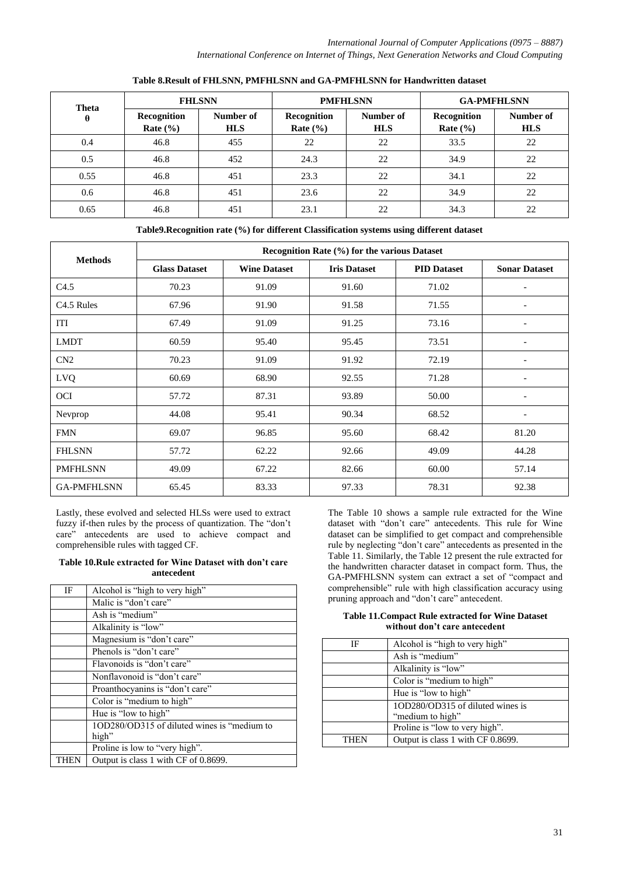| <b>FHLSNN</b><br>Theta |                             |                         |                             | <b>PMFHLSNN</b>         | <b>GA-PMFHLSNN</b>                 |                         |
|------------------------|-----------------------------|-------------------------|-----------------------------|-------------------------|------------------------------------|-------------------------|
| $\theta$               | Recognition<br>Rate $(\% )$ | Number of<br><b>HLS</b> | Recognition<br>Rate $(\% )$ | Number of<br><b>HLS</b> | <b>Recognition</b><br>Rate $(\% )$ | Number of<br><b>HLS</b> |
| 0.4                    | 46.8                        | 455                     | 22                          | 22                      | 33.5                               | 22                      |
| 0.5                    | 46.8                        | 452                     | 24.3                        | 22                      | 34.9                               | 22                      |
| 0.55                   | 46.8                        | 451                     | 23.3                        | 22                      | 34.1                               | 22                      |
| 0.6                    | 46.8                        | 451                     | 23.6                        | 22                      | 34.9                               | 22                      |
| 0.65                   | 46.8                        | 451                     | 23.1                        | 22                      | 34.3                               | 22                      |

#### **Table 8.Result of FHLSNN, PMFHLSNN and GA-PMFHLSNN for Handwritten dataset**

**Table9.Recognition rate (%) for different Classification systems using different dataset**

|                        | Recognition Rate (%) for the various Dataset |                     |                     |                    |                          |  |  |  |
|------------------------|----------------------------------------------|---------------------|---------------------|--------------------|--------------------------|--|--|--|
| <b>Methods</b>         | <b>Glass Dataset</b>                         | <b>Wine Dataset</b> | <b>Iris Dataset</b> | <b>PID Dataset</b> | <b>Sonar Dataset</b>     |  |  |  |
| C4.5                   | 70.23                                        | 91.09               | 91.60               | 71.02              | $\overline{\phantom{a}}$ |  |  |  |
| C <sub>4.5</sub> Rules | 67.96                                        | 91.90               | 91.58               | 71.55              | $\overline{\phantom{a}}$ |  |  |  |
| ITI                    | 67.49                                        | 91.09               | 91.25               | 73.16              |                          |  |  |  |
| <b>LMDT</b>            | 60.59                                        | 95.40               | 95.45               | 73.51              |                          |  |  |  |
| CN2                    | 70.23                                        | 91.09               | 91.92               | 72.19              | $\overline{\phantom{a}}$ |  |  |  |
| <b>LVQ</b>             | 60.69                                        | 68.90               | 92.55               | 71.28              |                          |  |  |  |
| <b>OCI</b>             | 57.72                                        | 87.31               | 93.89               | 50.00              |                          |  |  |  |
| Nevprop                | 44.08                                        | 95.41               | 90.34               | 68.52              | $\overline{\phantom{a}}$ |  |  |  |
| <b>FMN</b>             | 69.07                                        | 96.85               | 95.60               | 68.42              | 81.20                    |  |  |  |
| <b>FHLSNN</b>          | 57.72                                        | 62.22               | 92.66               | 49.09              | 44.28                    |  |  |  |
| <b>PMFHLSNN</b>        | 49.09                                        | 67.22               | 82.66               | 60.00              | 57.14                    |  |  |  |
| <b>GA-PMFHLSNN</b>     | 65.45                                        | 83.33               | 97.33               | 78.31              | 92.38                    |  |  |  |

Lastly, these evolved and selected HLSs were used to extract fuzzy if-then rules by the process of quantization. The "don't care" antecedents are used to achieve compact and comprehensible rules with tagged CF.

#### **Table 10.Rule extracted for Wine Dataset with don't care antecedent**

| IF   | Alcohol is "high to very high"              |
|------|---------------------------------------------|
|      | Malic is "don't care"                       |
|      | Ash is "medium"                             |
|      | Alkalinity is "low"                         |
|      | Magnesium is "don't care"                   |
|      | Phenols is "don't care"                     |
|      | Flavonoids is "don't care"                  |
|      | Nonflavonoid is "don't care"                |
|      | Proanthocyanins is "don't care"             |
|      | Color is "medium to high"                   |
|      | Hue is "low to high"                        |
|      | 1OD280/OD315 of diluted wines is "medium to |
|      | high"                                       |
|      | Proline is low to "very high".              |
| THEN | Output is class 1 with CF of 0.8699.        |

The Table 10 shows a sample rule extracted for the Wine dataset with "don't care" antecedents. This rule for Wine dataset can be simplified to get compact and comprehensible rule by neglecting "don't care" antecedents as presented in the Table 11. Similarly, the Table 12 present the rule extracted for the handwritten character dataset in compact form. Thus, the GA-PMFHLSNN system can extract a set of "compact and comprehensible" rule with high classification accuracy using pruning approach and "don't care" antecedent.

**Table 11.Compact Rule extracted for Wine Dataset without don't care antecedent** 

| IF   | Alcohol is "high to very high"    |
|------|-----------------------------------|
|      | Ash is "medium"                   |
|      | Alkalinity is "low"               |
|      | Color is "medium to high"         |
|      | Hue is "low to high"              |
|      | 10D280/0D315 of diluted wines is  |
|      | "medium to high"                  |
|      | Proline is "low to very high".    |
| THEN | Output is class 1 with CF 0.8699. |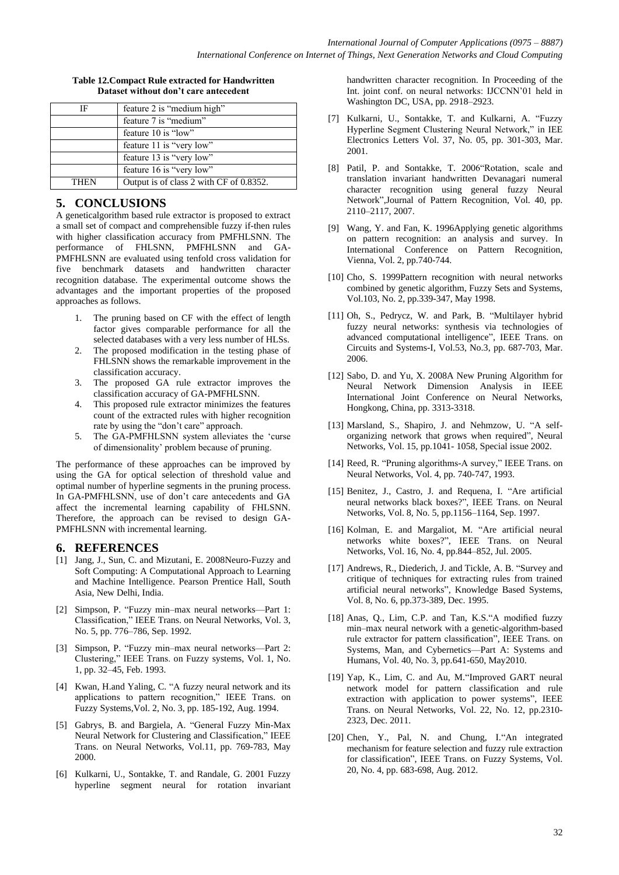#### **Table 12.Compact Rule extracted for Handwritten Dataset without don't care antecedent**

| IF   | feature 2 is "medium high"              |
|------|-----------------------------------------|
|      | feature 7 is "medium"                   |
|      | feature 10 is "low"                     |
|      | feature 11 is "very low"                |
|      | feature 13 is "very low"                |
|      | feature 16 is "very low"                |
| THEN | Output is of class 2 with CF of 0.8352. |

## **5. CONCLUSIONS**

A geneticalgorithm based rule extractor is proposed to extract a small set of compact and comprehensible fuzzy if-then rules with higher classification accuracy from PMFHLSNN. The performance of FHLSNN, PMFHLSNN and GA-PMFHLSNN are evaluated using tenfold cross validation for five benchmark datasets and handwritten character recognition database. The experimental outcome shows the advantages and the important properties of the proposed approaches as follows.

- 1. The pruning based on CF with the effect of length factor gives comparable performance for all the selected databases with a very less number of HLSs.
- 2. The proposed modification in the testing phase of FHLSNN shows the remarkable improvement in the classification accuracy.
- 3. The proposed GA rule extractor improves the classification accuracy of GA-PMFHLSNN.
- 4. This proposed rule extractor minimizes the features count of the extracted rules with higher recognition rate by using the "don't care" approach.
- 5. The GA-PMFHLSNN system alleviates the 'curse of dimensionality' problem because of pruning.

The performance of these approaches can be improved by using the GA for optical selection of threshold value and optimal number of hyperline segments in the pruning process. In GA-PMFHLSNN, use of don't care antecedents and GA affect the incremental learning capability of FHLSNN. Therefore, the approach can be revised to design GA-PMFHLSNN with incremental learning.

#### **6. REFERENCES**

- [1] Jang, J., Sun, C. and Mizutani, E. 2008Neuro-Fuzzy and Soft Computing: A Computational Approach to Learning and Machine Intelligence. Pearson Prentice Hall, South Asia, New Delhi, India.
- [2] Simpson, P. "Fuzzy min–max neural networks—Part 1: Classification," IEEE Trans. on Neural Networks, Vol. 3, No. 5, pp. 776–786, Sep. 1992.
- [3] Simpson, P. "Fuzzy min–max neural networks—Part 2: Clustering," IEEE Trans. on Fuzzy systems, Vol. 1, No. 1, pp. 32–45, Feb. 1993.
- [4] Kwan, H.and Yaling, C. "A fuzzy neural network and its applications to pattern recognition," IEEE Trans. on Fuzzy Systems,Vol. 2, No. 3, pp. 185-192, Aug. 1994.
- [5] Gabrys, B. and Bargiela, A. "General Fuzzy Min-Max Neural Network for Clustering and Classification," IEEE Trans. on Neural Networks, Vol.11, pp. 769-783, May 2000.
- [6] Kulkarni, U., Sontakke, T. and Randale, G. 2001 Fuzzy hyperline segment neural for rotation invariant

handwritten character recognition. In Proceeding of the Int. joint conf. on neural networks: IJCCNN'01 held in Washington DC, USA, pp. 2918–2923.

- [7] Kulkarni, U., Sontakke, T. and Kulkarni, A. "Fuzzy Hyperline Segment Clustering Neural Network," in IEE Electronics Letters Vol. 37, No. 05, pp. 301-303, Mar. 2001.
- [8] Patil, P. and Sontakke, T. 2006 "Rotation, scale and translation invariant handwritten Devanagari numeral character recognition using general fuzzy Neural Network",Journal of Pattern Recognition, Vol. 40, pp. 2110–2117, 2007.
- [9] Wang, Y. and Fan, K. 1996Applying genetic algorithms on pattern recognition: an analysis and survey. In International Conference on Pattern Recognition, Vienna, Vol. 2, pp.740-744.
- [10] Cho, S. 1999Pattern recognition with neural networks combined by genetic algorithm, Fuzzy Sets and Systems, Vol.103, No. 2, pp.339-347, May 1998.
- [11] Oh, S., Pedrycz, W. and Park, B. "Multilayer hybrid fuzzy neural networks: synthesis via technologies of advanced computational intelligence", IEEE Trans. on Circuits and Systems-I, Vol.53, No.3, pp. 687-703, Mar. 2006.
- [12] Sabo, D. and Yu, X. 2008A New Pruning Algorithm for Neural Network Dimension Analysis in IEEE International Joint Conference on Neural Networks, Hongkong, China, pp. 3313-3318.
- [13] Marsland, S., Shapiro, J. and Nehmzow, U. "A selforganizing network that grows when required", Neural Networks, Vol. 15, pp.1041- 1058, Special issue 2002.
- [14] Reed, R. "Pruning algorithms-A survey," IEEE Trans. on Neural Networks, Vol. 4, pp. 740-747, 1993.
- [15] Benitez, J., Castro, J. and Requena, I. "Are artificial neural networks black boxes?", IEEE Trans. on Neural Networks, Vol. 8, No. 5, pp.1156–1164, Sep. 1997.
- [16] Kolman, E. and Margaliot, M. "Are artificial neural networks white boxes?", IEEE Trans. on Neural Networks, Vol. 16, No. 4, pp.844–852, Jul. 2005.
- [17] Andrews, R., Diederich, J. and Tickle, A. B. "Survey and critique of techniques for extracting rules from trained artificial neural networks", Knowledge Based Systems, Vol. 8, No. 6, pp.373-389, Dec. 1995.
- [18] Anas, Q., Lim, C.P. and Tan, K.S."A modified fuzzy min–max neural network with a genetic-algorithm-based rule extractor for pattern classification", IEEE Trans. on Systems, Man, and Cybernetics—Part A: Systems and Humans, Vol. 40, No. 3, pp.641-650, May2010.
- [19] Yap, K., Lim, C. and Au, M."Improved GART neural network model for pattern classification and rule extraction with application to power systems", IEEE Trans. on Neural Networks, Vol. 22, No. 12, pp.2310- 2323, Dec. 2011.
- [20] Chen, Y., Pal, N. and Chung, I. An integrated mechanism for feature selection and fuzzy rule extraction for classification", IEEE Trans. on Fuzzy Systems, Vol. 20, No. 4, pp. 683-698, Aug. 2012.